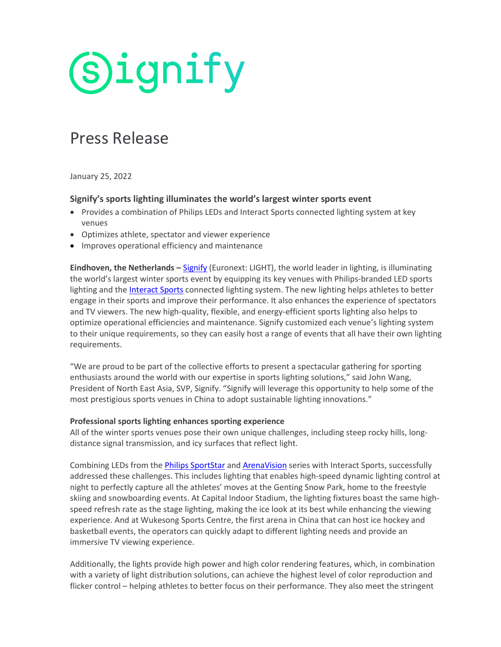# **Signify**

### Press Release

January 25, 2022

#### **Signify's sports lighting illuminates the world's largest winter sports event**

- Provides a combination of Philips LEDs and Interact Sports connected lighting system at key venues
- Optimizes athlete, spectator and viewer experience
- Improves operational efficiency and maintenance

**Eindhoven, the Netherlands –** [Signify](https://www.signify.com/) (Euronext: LIGHT), the world leader in lighting, is illuminating the world's largest winter sports event by equipping its key venues with Philips-branded LED sports lighting and the *Interact Sports* connected lighting system. The new lighting helps athletes to better engage in their sports and improve their performance. It also enhances the experience of spectators and TV viewers. The new high-quality, flexible, and energy-efficient sports lighting also helps to optimize operational efficiencies and maintenance. Signify customized each venue's lighting system to their unique requirements, so they can easily host a range of events that all have their own lighting requirements.

"We are proud to be part of the collective efforts to present a spectacular gathering for sporting enthusiasts around the world with our expertise in sports lighting solutions," said John Wang, President of North East Asia, SVP, Signify. "Signify will leverage this opportunity to help some of the most prestigious sports venues in China to adopt sustainable lighting innovations."

#### **Professional sports lighting enhances sporting experience**

All of the winter sports venues pose their own unique challenges, including steep rocky hills, longdistance signal transmission, and icy surfaces that reflect light.

Combining LEDs from the [Philips SportStar](https://www.lighting.philips.com/main/prof/outdoor-luminaires/sports-and-area-floodlighting/area-and-recreational-floodlighting/sportsstar-bvp621-bvp622-evp622) an[d ArenaVision](https://www.lighting.philips.com/main/prof/outdoor-luminaires/sports-and-area-floodlighting/high-end-sports-floodlighting/arenavision-led-gen3.5) series with Interact Sports, successfully addressed these challenges. This includes lighting that enables high-speed dynamic lighting control at night to perfectly capture all the athletes' moves at the Genting Snow Park, home to the freestyle skiing and snowboarding events. At Capital Indoor Stadium, the lighting fixtures boast the same highspeed refresh rate as the stage lighting, making the ice look at its best while enhancing the viewing experience. And at Wukesong Sports Centre, the first arena in China that can host ice hockey and basketball events, the operators can quickly adapt to different lighting needs and provide an immersive TV viewing experience.

Additionally, the lights provide high power and high color rendering features, which, in combination with a variety of light distribution solutions, can achieve the highest level of color reproduction and flicker control – helping athletes to better focus on their performance. They also meet the stringent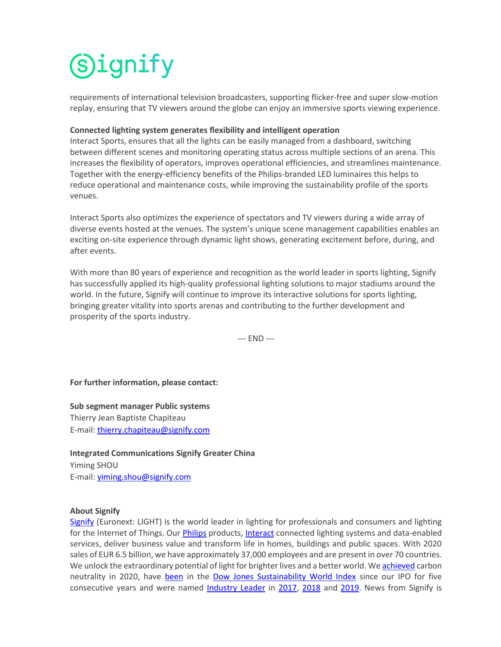## **Signify**

requirements of international television broadcasters, supporting flicker-free and super slow-motion replay, ensuring that TV viewers around the globe can enjoy an immersive sports viewing experience.

#### **Connected lighting system generates flexibility and intelligent operation**

Interact Sports, ensures that all the lights can be easily managed from a dashboard, switching between different scenes and monitoring operating status across multiple sections of an arena. This increases the flexibility of operators, improves operational efficiencies, and streamlines maintenance. Together with the energy-efficiency benefits of the Philips-branded LED luminaires this helps to reduce operational and maintenance costs, while improving the sustainability profile of the sports venues.

Interact Sports also optimizes the experience of spectators and TV viewers during a wide array of diverse events hosted at the venues. The system's unique scene management capabilities enables an exciting on-site experience through dynamic light shows, generating excitement before, during, and after events.

With more than 80 years of experience and recognition as the world leader in sports lighting, Signify has successfully applied its high-quality professional lighting solutions to major stadiums around the world. In the future, Signify will continue to improve its interactive solutions for sports lighting, bringing greater vitality into sports arenas and contributing to the further development and prosperity of the sports industry.

--- END ---

**For further information, please contact:**

**Sub segment manager Public systems**

Thierry Jean Baptiste Chapiteau E-mail: [thierry.chapiteau@signify.com](mailto:thierry.chapiteau@signify.com)

**Integrated Communications Signify Greater China** Yiming SHOU E-mail: [yiming.shou@signify.com](mailto:yiming.shou@signify.com)

#### **About Signify**

[Signify](https://www.signify.com/) (Euronext: LIGHT) is the world leader in lighting for professionals and consumers and lighting for the Internet of Things. Our [Philips](https://www.lighting.philips.com/) products[, Interact](https://www.interact-lighting.com/en) connected lighting systems and data-enabled services, deliver business value and transform life in homes, buildings and public spaces. With 2020 sales of EUR 6.5 billion, we have approximately 37,000 employees and are present in over 70 countries. We unlock the extraordinary potential of light for brighter lives and a better world. W[e achieved](https://www.signify.com/global/our-company/news/press-releases/2020/20200908-signify-achieves-carbon-neutrality-and-sets-course-to-double-its-positive-impact-on-the-environment-and-society) carbon neutrality in 2020, have [been](https://www.signify.com/global/sustainability) in the [Dow Jones Sustainability World Index](https://www.spglobal.com/spdji/en/indices/esg/dow-jones-sustainability-world-index/#overview) since our IPO for five consecutive years and were named [Industry Leader](https://www.signify.com/global/our-company/news/press-releases/2019/20190916-signify-named-industry-leader-in-2019-dow-jones-sustainability-index) in [2017,](https://www.signify.com/global/our-company/news/press-release-archive/2017/20170907-philips-lighting-named-industry-leader-in-the-2017-dow-jones-sustainability-index) [2018](https://www.signify.com/global/our-company/news/press-releases/2018/20180913-signify-named-industry-leader-2018-dow-jones-sustainability-index) and [2019.](https://www.signify.com/global/our-company/news/press-releases/2019/20190916-signify-named-industry-leader-in-2019-dow-jones-sustainability-index) News from Signify is